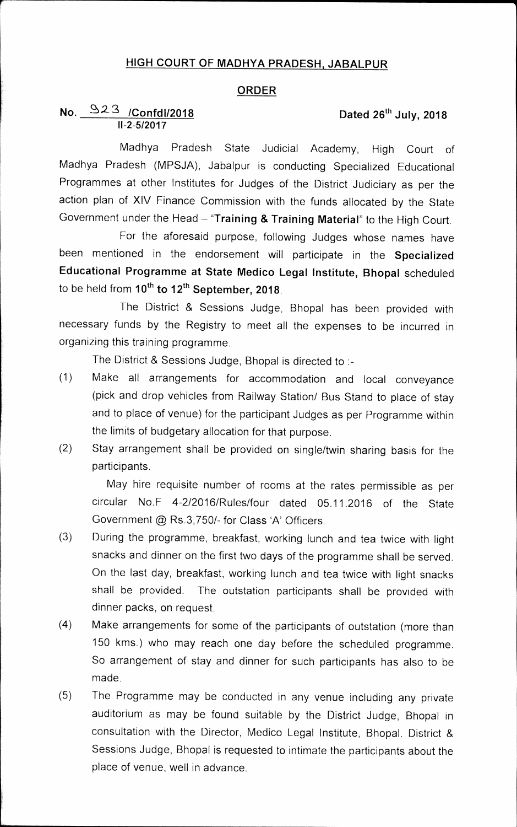## **HIGH COURT OF MADHYA PRADESH, JABALPUR**

## **ORDER**

## **No.** 323 /ConfdI/2018 **Dated 26<sup>th</sup> July, 2018 11-2-5/2017**

Madhya Pradesh State Judicial Academy, High Court of Madhya Pradesh (MPSJA), Jabalpur is conducting Specialized Educational Programmes at other Institutes for Judges of the District Judiciary as per the action plan of XIV Finance Commission with the funds allocated by the State Government under the Head **"Training & Training Material"** to the High Court.

For the aforesaid purpose, following Judges whose names have been mentioned in the endorsement will participate in the **Specialized Educational Programme at State Medico Legal Institute, Bhopal** scheduled to be held from 10<sup>th</sup> to 12<sup>th</sup> September, 2018.

The District & Sessions Judge, Bhopal has been provided with necessary funds by the Registry to meet all the expenses to be incurred in organizing this training programme.

The District & Sessions Judge, Bhopal is directed to :-

- (1) Make all arrangements for accommodation and local conveyance (pick and drop vehicles from Railway Station/ Bus Stand to place of stay and to place of venue) for the participant Judges as per Programme within the limits of budgetary allocation for that purpose.
- (2) Stay arrangement shall be provided on single/twin sharing basis for the participants.

May hire requisite number of rooms at the rates permissible as per circular No.F 4-2/2016/Rules/four dated 05.11.2016 of the State Government @ Rs.3,750/- for Class 'A' Officers.

- (3) During the programme, breakfast, working lunch and tea twice with light snacks and dinner on the first two days of the programme shall be served. On the last day, breakfast, working lunch and tea twice with light snacks shall be provided. The outstation participants shall be provided with dinner packs, on request.
- (4) Make arrangements for some of the participants of outstation (more than 150 kms.) who may reach one day before the scheduled programme. So arrangement of stay and dinner for such participants has also to be made.
- (5) The Programme may be conducted in any venue including any private auditorium as may be found suitable by the District Judge, Bhopal in consultation with the Director, Medico Legal Institute, Bhopal. District & Sessions Judge, Bhopal is requested to intimate the participants about the place of venue, well in advance.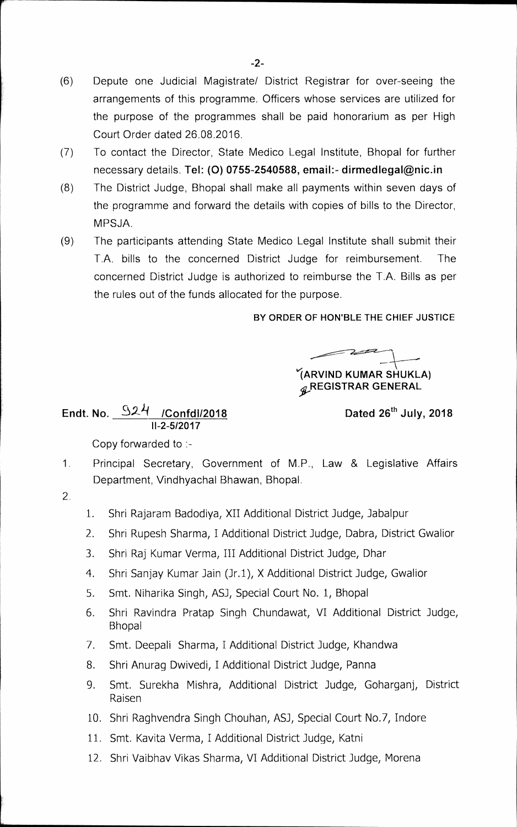- (6) Depute one Judicial Magistrate/ District Registrar for over-seeing the arrangements of this programme. Officers whose services are utilized for the purpose of the programmes shall be paid honorarium as per High Court Order dated 26.08.2016.
- (7) To contact the Director, State Medico Legal Institute, Bhopal for further necessary details. **Tel: (0) 0755-2540588, email:- dirmedlegal@nic.in**
- (8) The District Judge, Bhopal shall make all payments within seven days of the programme and forward the details with copies of bills to the Director, MPSJA.
- (9) The participants attending State Medico Legal Institute shall submit their T.A. bills to the concerned District Judge for reimbursement. The concerned District Judge is authorized to reimburse the T.A. Bills as per the rules out of the funds allocated for the purpose.

**BY ORDER OF HON'BLE THE CHIEF JUSTICE** 

**(ARVIND KUMAR SHUKLA) \$,REGISTRAR GENERAL** 

Endt. No. 324 /Confdl/2018 **Dated 26<sup>th</sup> July, 2018 <sup>11</sup>-2-5/2017** 

Copy forwarded to :-

- 1. Principal Secretary, Government of M.P., Law & Legislative Affairs Department, Vindhyachal Bhawan, Bhopal.
- 2
- 1. Shri Rajaram Badodiya, XII Additional District Judge, Jabalpur
- 2. Shri Rupesh Sharma, I Additional District Judge, Dabra, District Gwalior
- 3. Shri Raj Kumar Verma, III Additional District Judge, Dhar
- 4. Shri Sanjay Kumar Jain (Jr.1), X Additional District Judge, Gwalior
- 5. Smt. Niharika Singh, ASJ, Special Court No. 1, Bhopal
- 6. Shri Ravindra Pratap Singh Chundawat, VI Additional District Judge, Bhopal
- 7. Smt. Deepaii Sharma, I Additional District Judge, Khandwa
- 8. Shri Anurag Dwivedi, I Additional District Judge, Panna
- 9. Smt. Surekha Mishra, Additional District Judge, Goharganj, District Raisen
- 10. Shri Raghvendra Singh Chouhan, ASJ, Special Court No.7, Indore
- 11. Smt. Kavita Verma, I Additional District Judge, Katni
- 12. Shri Vaibhav Vikas Sharma, VI Additional District Judge, Morena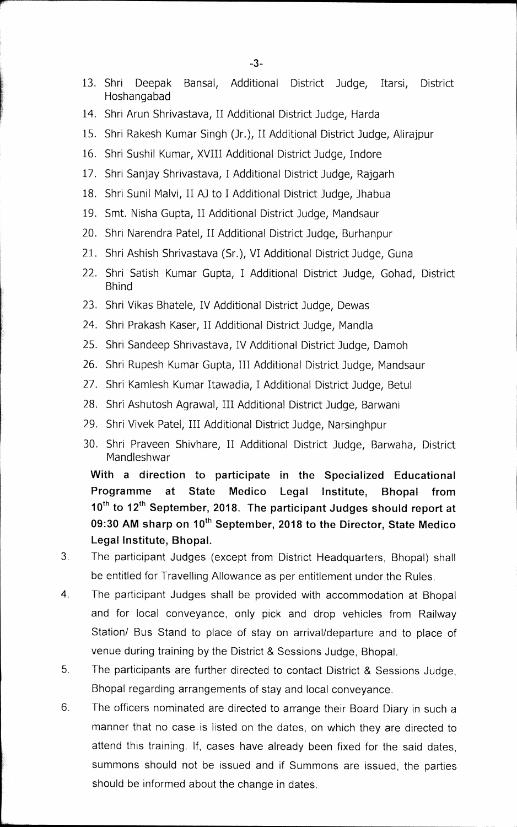- 13. Shri Deepak Bansal, Additional District Judge, Itarsi, District Hoshangabad
- 14. Shri Arun Shrivastava, II Additional District Judge, Harda
- 15. Shri Rakesh Kumar Singh (Jr.), II Additional District Judge, Alirajpur
- 16. Shri Sushil Kumar, XVIII Additional District Judge, Indore
- 17. Shri Sanjay Shrivastava, I Additional District Judge, Rajgarh
- 18. Shri Sunil Maivi, II AJ to I Additional District Judge, Jhabua
- 19. Smt. Nisha Gupta, II Additional District Judge, Mandsaur
- 20. Shri Narendra Patel, II Additional District Judge, Burhanpur
- 21. Shri Ashish Shrivastava (Sr.), VI Additional District Judge, Guna
- 22. Shri Satish Kumar Gupta, I Additional District Judge, Gohad, District Bhind
- 23. Shri Vikas Bhatele, IV Additional District Judge, Dewas
- 24. Shri Prakash Kaser, II Additional District Judge, Mandla
- 25. Shri Sandeep Shrivastava, IV Additional District Judge, Damoh
- 26. Shri Rupesh Kumar Gupta, III Additional District Judge, Mandsaur
- 27. Shri Kamlesh Kumar Itawadia, I Additional District Judge, Betul
- 28. Shri Ashutosh Agrawal, III Additional District Judge, Barwani
- 29. Shri Vivek Patel, III Additional District Judge, Narsinghpur
- 30. Shri Praveen Shivhare, II Additional District Judge, Barwaha, District Mandleshwar

**With a direction to participate in the Specialized Educational Programme at State Medico Legal Institute, Bhopal from**  10<sup>th</sup> to 12<sup>th</sup> September, 2018. The participant Judges should report at 09:30 AM sharp on 10<sup>th</sup> September, 2018 to the Director, State Medico **Legal Institute, Bhopal.** 

- 3 The participant Judges (except from District Headquarters, Bhopal) shall be entitled for Travelling Allowance as per entitlement under the Rules.
- 4 The participant Judges shall be provided with accommodation at Bhopal and for local conveyance, only pick and drop vehicles from Railway Station/ Bus Stand to place of stay on arrival/departure and to place of venue during training by the District & Sessions Judge, Bhopal.
- 5 The participants are further directed to contact District & Sessions Judge, Bhopal regarding arrangements of stay and local conveyance.
- 6. The officers nominated are directed to arrange their Board Diary in such a manner that no case is listed on the dates, on which they are directed to attend this training. If, cases have already been fixed for the said dates, summons should not be issued and if Summons are issued, the parties should be informed about the change in dates.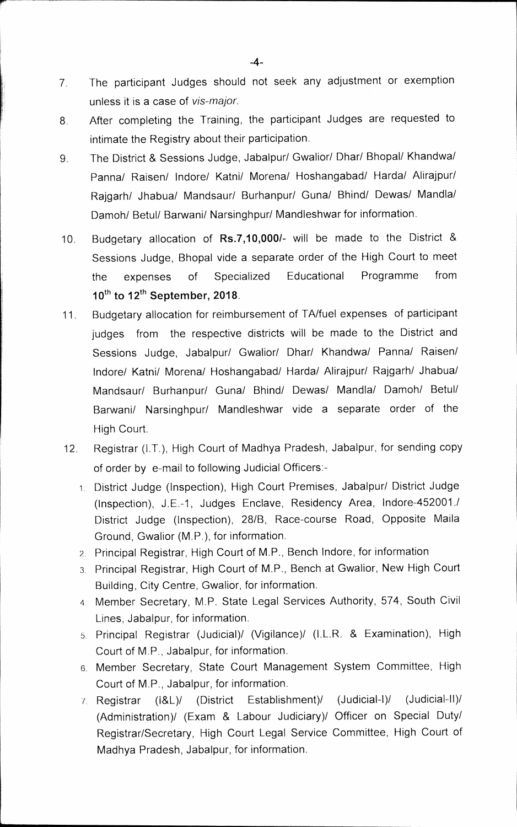- 7 The participant Judges should not seek any adjustment or exemption unless it is a case of *vis-major.*
- 8. After completing the Training, the participant Judges are requested to intimate the Registry about their participation.
- 9 The District & Sessions Judge, Jabalpur/ Gwalior/ Dhar/ Bhopal/ Khandwa/ Panna/ Raisen/ Indore/ Katni/ Morena/ Hoshangabad/ Harda/ Alirajpur/ Rajgarh/ Jhabua/ Mandsaur/ Burhanpur/ Guna/ Bhind/ Dewas/ Mandla/ Damoh/ Betul/ Barwani/ Narsinghpur/ Mandleshwar for information.
- 10. Budgetary allocation of **Rs.7,10,000/-** will be made to the District & Sessions Judge, Bhopal vide a separate order of the High Court to meet the expenses of Specialized Educational Programme from 10<sup>th</sup> to 12<sup>th</sup> September, 2018.
- 11. Budgetary allocation for reimbursement of TA/fuel expenses of participant judges from the respective districts will be made to the District and Sessions Judge, Jabalpur/ Gwalior/ Dhar/ Khandwa/ Panna/ Raisen/ Indore/ Katni/ Morena/ Hoshangabad/ Harda/ Alirajpur/ Rajgarh/ Jhabua/ Mandsaur/ Burhanpur/ Guna/ Bhind/ Dewas/ Mandla/ Damoh/ Betul/ Barwani/ Narsinghpur/ Mandieshwar vide a separate order of the High Court.
- 12. Registrar (I.T.), High Court of Madhya Pradesh, Jabalpur, for sending copy of order by e-mail to following Judicial Officers:-
	- 1 District Judge (Inspection), High Court Premises, Jabalpur/ District Judge (Inspection), J.E.-1, Judges Enclave, Residency Area, Indore-452001./ District Judge (Inspection), 28/B, Race-course Road, Opposite Maila Ground, Gwalior (M.P.), for information.
	- 2. Principal Registrar, High Court of M.P., Bench Indore, for information
	- 3. Principal Registrar, High Court of M.P., Bench at Gwalior, New High Court Building, City Centre, Gwalior, for information.
	- 4. Member Secretary, M.P. State Legal Services Authority, 574, South Civil Lines, Jabalpur, for information.
	- 5. Principal Registrar (Judicial)/ (Vigilance)/ (i.L.R. & Examination), High Court of M.P., Jabalpur, for information.
	- 6 Member Secretary, State Court Management System Committee, High Court of M.P., Jabalpur, for information.
	- Registrar (i&L)/ (District Establishment)/ (Judicial-I)/ (Judicial-11)! (Administration)/ (Exam & Labour Judiciary)/ Officer on Special Duty/ Registrar/Secretary, High Court Legal Service Committee, High Court of Madhya Pradesh, Jabalpur, for information.